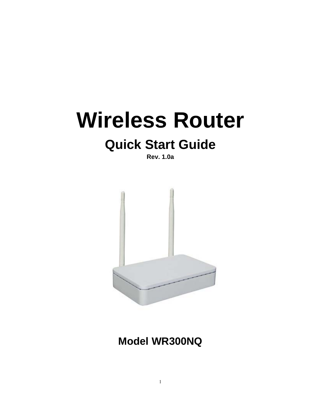# **Wireless Router**

## **Quick Start Guide**

**Rev. 1.0a** 



**Model WR300NQ**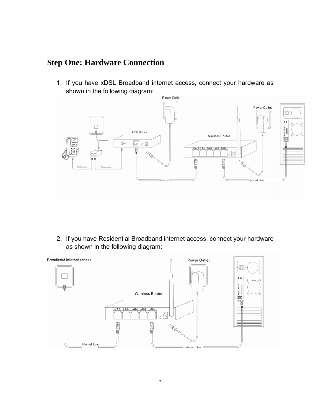### **Step One: Hardware Connection**

1. If you have xDSL Broadband internet access, connect your hardware as shown in the following diagram:



2. If you have Residential Broadband internet access, connect your hardware as shown in the following diagram:

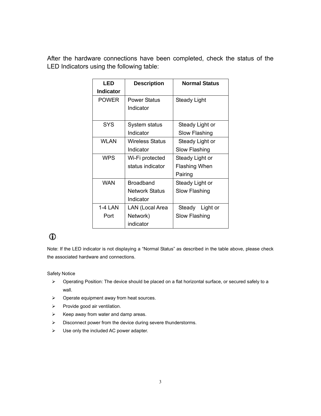After the hardware connections have been completed, check the status of the LED Indicators using the following table:

| LED              | <b>Description</b>    | <b>Normal Status</b> |
|------------------|-----------------------|----------------------|
| <b>Indicator</b> |                       |                      |
| <b>POWER</b>     | <b>Power Status</b>   | Steady Light         |
|                  | Indicator             |                      |
|                  |                       |                      |
| SYS              | System status         | Steady Light or      |
|                  | Indicator             | Slow Flashing        |
| WLAN             | Wireless Status       | Steady Light or      |
|                  | Indicator             | Slow Flashing        |
| <b>WPS</b>       | Wi-Fi protected       | Steady Light or      |
|                  | status indicator      | <b>Flashing When</b> |
|                  |                       | Pairing              |
| WAN              | <b>Broadband</b>      | Steady Light or      |
|                  | <b>Network Status</b> | Slow Flashing        |
|                  | Indicator             |                      |
| 1-4 LAN          | LAN (Local Area       | Steady<br>Light or   |
| Port             | Network)              | Slow Flashing        |
|                  | indicator             |                      |

### $\mathbf{D}$

Note: If the LED indicator is not displaying a "Normal Status" as described in the table above, please check the associated hardware and connections.

#### Safety Notice

- ¾ Operating Position: The device should be placed on a flat horizontal surface, or secured safely to a wall.
- $\triangleright$  Operate equipment away from heat sources.
- $\triangleright$  Provide good air ventilation.
- $\triangleright$  Keep away from water and damp areas.
- ¾ Disconnect power from the device during severe thunderstorms.
- $\triangleright$  Use only the included AC power adapter.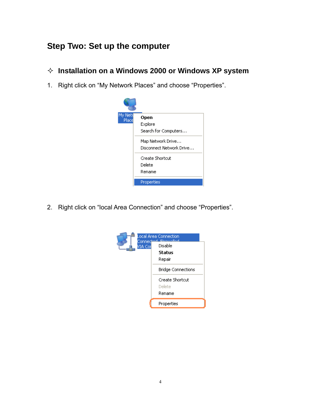## **Step Two: Set up the computer**

- **Installation on a Windows 2000 or Windows XP system**
- 1. Right click on "My Network Places" and choose "Properties".



2. Right click on "local Area Connection" and choose "Properties".

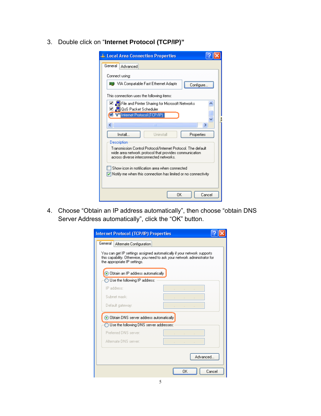3. Double click on "**Internet Protocol (TCP/IP)"**

| <b>4. Local Area Connection Properties</b>                                                                                                                        |
|-------------------------------------------------------------------------------------------------------------------------------------------------------------------|
| General<br>Advanced                                                                                                                                               |
| Connect using:                                                                                                                                                    |
| ■■ VIA Compatable Fast Ethernet Adapte<br>Configure                                                                                                               |
| This connection uses the following items:                                                                                                                         |
| ☑ ■ File and Printer Sharing for Microsoft Networks<br>☑ – QoS Packet Scheduler                                                                                   |
| Themet Protocol (TCP/IP)                                                                                                                                          |
| IIII<br>>                                                                                                                                                         |
| Install<br>Uninstall<br>Properties                                                                                                                                |
| Description                                                                                                                                                       |
| Transmission Control Protocol/Internet Protocol. The default<br>wide area network protocol that provides communication<br>across diverse interconnected networks. |
|                                                                                                                                                                   |
| Show icon in notification area when connected<br>$\sqrt{}$ Notify me when this connection has limited or no connectivity                                          |
|                                                                                                                                                                   |
| ΩK<br>Cancel                                                                                                                                                      |

4. Choose "Obtain an IP address automatically", then choose "obtain DNS Server Address automatically", click the "OK" button.

| Internet Protocol (TCP/IP) Properties                                                                                                                                                  |
|----------------------------------------------------------------------------------------------------------------------------------------------------------------------------------------|
| General<br>Alternate Configuration                                                                                                                                                     |
| You can get IP settings assigned automatically if your network supports.<br>this capability. Otherwise, you need to ask your network administrator for<br>the appropriate IP settings. |
| • Obtain an IP address automatically                                                                                                                                                   |
| Use the following IP address:                                                                                                                                                          |
| IP address:<br>and the state of the                                                                                                                                                    |
| Suhnet mask:                                                                                                                                                                           |
| Default gateway:                                                                                                                                                                       |
| O Obtain DNS server address automatically                                                                                                                                              |
| $\bigcirc$ Use the following DNS server addresses:                                                                                                                                     |
| Preferred DNS server:                                                                                                                                                                  |
| Alternate DNS server:                                                                                                                                                                  |
| Advanced                                                                                                                                                                               |
| ΩK<br>Cancel                                                                                                                                                                           |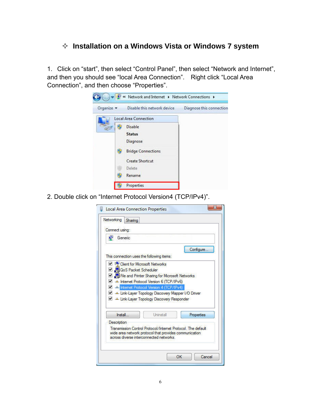#### **Installation on a Windows Vista or Windows 7 system**

1. Click on "start", then select "Control Panel", then select "Network and Internet", and then you should see "local Area Connection". Right click "Local Area Connection", and then choose "Properties".



2. Double click on "Internet Protocol Version4 (TCP/IPv4)".

| Connect using:                                                                                                        |           |            |
|-----------------------------------------------------------------------------------------------------------------------|-----------|------------|
| Generic                                                                                                               |           |            |
|                                                                                                                       |           | Configure. |
| This connection uses the following items:                                                                             |           |            |
| <b>Client for Microsoft Networks</b>                                                                                  |           |            |
| O <b>S</b> QoS Packet Scheduler<br>File and Printer Sharing for Microsoft Networks                                    |           |            |
| A Internet Protocol Version 6 (TCP/IPv6)                                                                              |           |            |
| A Internet Protocol Version 4 (TCP/IPv4)                                                                              |           |            |
| Link-Layer Topology Discovery Mapper I/O Driver                                                                       |           |            |
| Link-Layer Topology Discovery Responder                                                                               |           |            |
|                                                                                                                       |           |            |
| Install                                                                                                               | Uninstall | Properties |
|                                                                                                                       |           |            |
| Description                                                                                                           |           |            |
| Transmission Control Protocol/Internet Protocol The default<br>wide area network protocol that provides communication |           |            |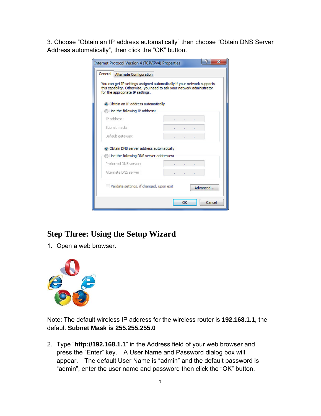3. Choose "Obtain an IP address automatically" then choose "Obtain DNS Server Address automatically", then click the "OK" button.

| <b>Internet Protocol Version 4 (TCP/IPv4) Properties</b><br>General<br>Alternate Configuration                                                                                        | х                             |
|---------------------------------------------------------------------------------------------------------------------------------------------------------------------------------------|-------------------------------|
| You can get IP settings assigned automatically if your network supports<br>this capability. Otherwise, you need to ask your network administrator<br>for the appropriate IP settings. |                               |
| O Obtain an IP address automatically                                                                                                                                                  |                               |
| Use the following IP address:                                                                                                                                                         |                               |
| IP address:                                                                                                                                                                           | The control of the control of |
| Subnet mask:                                                                                                                                                                          | the control of the con-       |
| Default gateway:                                                                                                                                                                      | the second control of the co- |
| O Obtain DNS server address automatically                                                                                                                                             |                               |
| Use the following DNS server addresses:                                                                                                                                               |                               |
| Preferred DNS server:                                                                                                                                                                 | the control of the control of |
| Alternate DNS server:                                                                                                                                                                 | THE R. P. LEWIS CO., LANSING. |
| Validate settings, if changed, upon exit                                                                                                                                              | Advanced                      |
|                                                                                                                                                                                       | Cancel<br>OK                  |

## **Step Three: Using the Setup Wizard**

1. Open a web browser.



Note: The default wireless IP address for the wireless router is **192.168.1.1**, the default **Subnet Mask is 255.255.255.0** 

2. Type "**http://192.168.1.1**" in the Address field of your web browser and press the "Enter" key. A User Name and Password dialog box will appear. The default User Name is "admin" and the default password is "admin", enter the user name and password then click the "OK" button.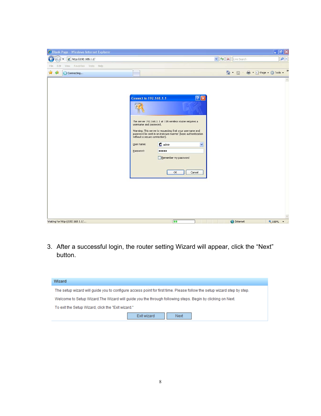| e http://192.168.1.1/                  |                                                                                                                                                                                                                                                                    | $\vee$ $\frac{1}{2}$ $\times$                                                                                                     | Live Search                | $\alpha$        |
|----------------------------------------|--------------------------------------------------------------------------------------------------------------------------------------------------------------------------------------------------------------------------------------------------------------------|-----------------------------------------------------------------------------------------------------------------------------------|----------------------------|-----------------|
| Edit View Favorites Tools Help<br>File |                                                                                                                                                                                                                                                                    |                                                                                                                                   |                            |                 |
| ☆<br>安<br>Connecting                   |                                                                                                                                                                                                                                                                    |                                                                                                                                   | 合, 同, ● · Page · O Tools · | »               |
| Waiting for http://192.168.1.1/        | <b>Connect to 192.168.1.1</b><br>The server 192.168.1.1 at 11N wireless router requires a<br>username and password.<br>Warning: This server is requesting that your username and<br>without a secure connection).<br><b>B</b> admin<br>User name:<br>Password:<br> | [?]X<br>password be sent in an insecure manner (basic authentication<br>v<br>Remember my password<br>OK<br>Cancel<br><b>First</b> | nternet                    | $\sim$<br>4100% |

3. After a successful login, the router setting Wizard will appear, click the "Next" button.

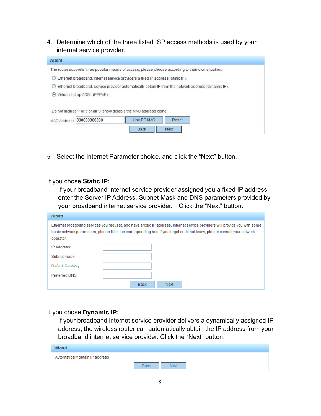4. Determine which of the three listed ISP access methods is used by your internet service provider.

| Wizard                                                                                              |
|-----------------------------------------------------------------------------------------------------|
| The router supports three popular means of access, please choose according to their own situation.  |
| Ethernet broadband, Internet service providers a fixed IP address (static IP).                      |
| Ethernet broadband, service provider automatically obtain IP from the network address (dynamic IP). |
| Virtual dial-up ADSL (PPPoE).<br>$\left( \bullet \right)$                                           |
| (Do not include '-' or ':' or all '0' show disable the MAC address clone.                           |
| Use PC MAC<br>Reset                                                                                 |
| 000000000000<br>MAC Address:                                                                        |
| Next<br><b>Back</b>                                                                                 |

5. Select the Internet Parameter choice, and click the "Next" button.

If you chose **Static IP**:

If your broadband internet service provider assigned you a fixed IP address, enter the Server IP Address, Subnet Mask and DNS parameters provided by your broadband internet service provider. Click the "Next" button.

| Wizard           |                                                                                                                                                                                                                                                          |
|------------------|----------------------------------------------------------------------------------------------------------------------------------------------------------------------------------------------------------------------------------------------------------|
| operator.        | Ethernet broadband services you request, and have a fixed IP address, Internet service providers will provide you with some<br>basic network parameters, please fill in the corresponding box. If you forget or do not know, please consult your network |
| IP Address:      |                                                                                                                                                                                                                                                          |
| Subnet mask:     |                                                                                                                                                                                                                                                          |
| Default Gateway: |                                                                                                                                                                                                                                                          |
| Preferred DNS:   |                                                                                                                                                                                                                                                          |
|                  | Next<br><b>Back</b>                                                                                                                                                                                                                                      |

#### If you chose **Dynamic IP**:

If your broadband internet service provider delivers a dynamically assigned IP address, the wireless router can automatically obtain the IP address from your broadband internet service provider. Click the "Next" button.

| Wizard                          |             |      |  |
|---------------------------------|-------------|------|--|
| Automatically obtain IP address |             |      |  |
|                                 | <b>Back</b> | Next |  |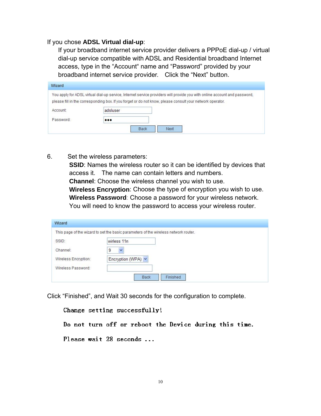#### If you chose **ADSL Virtual dial-up**:

If your broadband internet service provider delivers a PPPoE dial-up / virtual dial-up service compatible with ADSL and Residential broadband Internet access, type in the "Account" name and "Password" provided by your broadband internet service provider. Click the "Next" button.

| You apply for ADSL virtual dial-up service, Internet service providers will provide you with online account and password, |                                                                                                           |  |  |  |
|---------------------------------------------------------------------------------------------------------------------------|-----------------------------------------------------------------------------------------------------------|--|--|--|
|                                                                                                                           | please fill in the corresponding box. If you forget or do not know, please consult your network operator. |  |  |  |
| Account:                                                                                                                  | adsluser                                                                                                  |  |  |  |
| Password:                                                                                                                 |                                                                                                           |  |  |  |

6. Set the wireless parameters:

**SSID:** Names the wireless router so it can be identified by devices that access it. The name can contain letters and numbers. **Channel**: Choose the wireless channel you wish to use. **Wireless Encryption**: Choose the type of encryption you wish to use. **Wireless Password**: Choose a password for your wireless network. You will need to know the password to access your wireless router.

| Wizard               |                                                                                     |
|----------------------|-------------------------------------------------------------------------------------|
|                      | This page of the wizard to set the basic parameters of the wireless network router. |
| SSID:                | wirless 11n                                                                         |
| Channel:             | 9<br>$\checkmark$                                                                   |
| Wireless Encryption: | Encryption (WPA) V                                                                  |
| Wireless Password:   |                                                                                     |
|                      | <b>Back</b><br>Finished                                                             |

Click "Finished", and Wait 30 seconds for the configuration to complete.

| Change setting successfully! |  |  |                                                        |  |  |
|------------------------------|--|--|--------------------------------------------------------|--|--|
|                              |  |  | Do not turn off or reboot the Device during this time. |  |  |
| Please wait 28 seconds       |  |  |                                                        |  |  |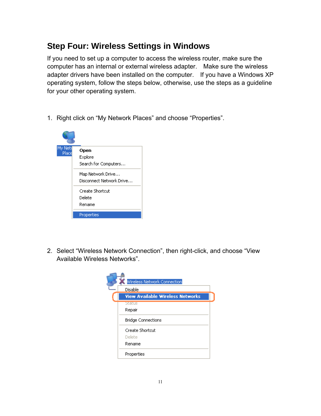## **Step Four: Wireless Settings in Windows**

If you need to set up a computer to access the wireless router, make sure the computer has an internal or external wireless adapter. Make sure the wireless adapter drivers have been installed on the computer. If you have a Windows XP operating system, follow the steps below, otherwise, use the steps as a guideline for your other operating system.

1. Right click on "My Network Places" and choose "Properties".



2. Select "Wireless Network Connection", then right-click, and choose "View Available Wireless Networks".

| Wireless Network Connection             |  |  |  |  |
|-----------------------------------------|--|--|--|--|
| Disable                                 |  |  |  |  |
| <b>View Available Wireless Networks</b> |  |  |  |  |
| Status<br>Repair                        |  |  |  |  |
| <b>Bridge Connections</b>               |  |  |  |  |
| Create Shortcut<br>Delete               |  |  |  |  |
| Rename                                  |  |  |  |  |
| Properties                              |  |  |  |  |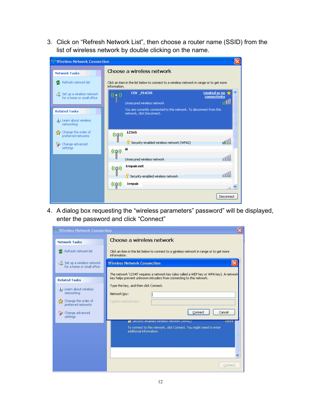3. Click on "Refresh Network List", then choose a router name (SSID) from the list of wireless network by double clicking on the name.

| <b>Wireless Network Connection</b>                      |                                                                                                          |  |  |  |
|---------------------------------------------------------|----------------------------------------------------------------------------------------------------------|--|--|--|
| <b>Network Tasks</b>                                    | Choose a wireless network                                                                                |  |  |  |
| Refresh network list                                    | Click an item in the list below to connect to a wireless network in range or to get more<br>information. |  |  |  |
| Set up a wireless network<br>for a home or small office | <b>Limited or no</b><br>CEO _FE4CEO<br>((O))<br>connectivity<br>allll<br>Unsecured wireless network      |  |  |  |
| <b>Related Tasks</b>                                    | You are currently connected to this network. To disconnect from this<br>network, click Disconnect.       |  |  |  |
| (i) Learn about wireless<br>networking                  |                                                                                                          |  |  |  |
| Change the order of<br>۲Ż<br>preferred networks         | 12345<br>$(\textcircled$                                                                                 |  |  |  |
| Change advanced                                         | <b>b</b> ool<br>Security-enabled wireless network (WPA2)                                                 |  |  |  |
| settings                                                | Ϊij<br>(2)                                                                                               |  |  |  |
|                                                         | uOOo<br>Unsecured wireless network                                                                       |  |  |  |
|                                                         | 1repair.net<br>$((\varphi))$                                                                             |  |  |  |
|                                                         | ooOU<br>Security-enabled wireless network                                                                |  |  |  |
|                                                         | <b>1repair</b><br>$n_{\rm m}$                                                                            |  |  |  |
|                                                         | Disconnect                                                                                               |  |  |  |

4. A dialog box requesting the "wireless parameters" password" will be displayed, enter the password and click "Connect"

| (e)) Wireless Network Connection                                                                                   |                                                                                                                                                                                                                                                   |  |  |  |
|--------------------------------------------------------------------------------------------------------------------|---------------------------------------------------------------------------------------------------------------------------------------------------------------------------------------------------------------------------------------------------|--|--|--|
| <b>Network Tasks</b>                                                                                               | Choose a wireless network                                                                                                                                                                                                                         |  |  |  |
| Refresh network list                                                                                               | Click an item in the list below to connect to a wireless network in range or to get more<br>information.                                                                                                                                          |  |  |  |
| Set up a wireless network<br>for a home or small office                                                            | <b>Wireless Network Connection</b>                                                                                                                                                                                                                |  |  |  |
| <b>Related Tasks</b><br><i>i</i> ) Learn about wireless<br>networking<br>Change the order of<br>preferred networks | The network '12345' requires a network key (also called a WEP key or WPA key). A network<br>key helps prevent unknown intruders from connecting to this network.<br>Type the key, and then click Connect.<br>Network key:<br>Confirm network key: |  |  |  |
| Change advanced<br>settings                                                                                        | Cancel<br>Connect<br><b>B</b> becurity-enabled wireless network (WPAZ)<br>الأتالاتات<br>To connect to this network, click Connect. You might need to enter<br>additional information.<br>≣                                                        |  |  |  |
|                                                                                                                    | Connect                                                                                                                                                                                                                                           |  |  |  |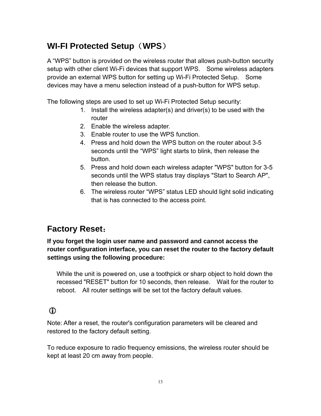## **WI-FI Protected Setup**(**WPS**)

A "WPS" button is provided on the wireless router that allows push-button security setup with other client Wi-Fi devices that support WPS. Some wireless adapters provide an external WPS button for setting up Wi-Fi Protected Setup. Some devices may have a menu selection instead of a push-button for WPS setup.

The following steps are used to set up Wi-Fi Protected Setup security:

- 1. Install the wireless adapter(s) and driver(s) to be used with the router
- 2. Enable the wireless adapter.
- 3. Enable router to use the WPS function.
- 4. Press and hold down the WPS button on the router about 3-5 seconds until the "WPS" light starts to blink, then release the button.
- 5. Press and hold down each wireless adapter "WPS" button for 3-5 seconds until the WPS status tray displays "Start to Search AP", then release the button.
- 6. The wireless router "WPS" status LED should light solid indicating that is has connected to the access point.

### **Factory Reset**:

**If you forget the login user name and password and cannot access the router configuration interface, you can reset the router to the factory default settings using the following procedure:** 

While the unit is powered on, use a toothpick or sharp object to hold down the recessed "RESET" button for 10 seconds, then release. Wait for the router to reboot. All router settings will be set tot the factory default values.

#### $\mathbf{D}$

Note: After a reset, the router's configuration parameters will be cleared and restored to the factory default setting.

To reduce exposure to radio frequency emissions, the wireless router should be kept at least 20 cm away from people.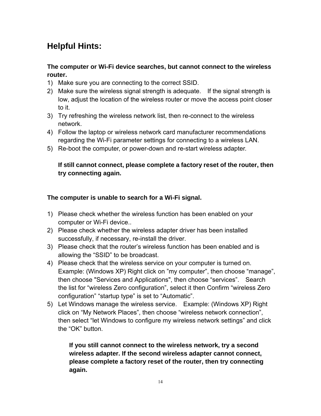## **Helpful Hints:**

#### **The computer or Wi-Fi device searches, but cannot connect to the wireless router.**

- 1) Make sure you are connecting to the correct SSID.
- 2) Make sure the wireless signal strength is adequate. If the signal strength is low, adjust the location of the wireless router or move the access point closer to it.
- 3) Try refreshing the wireless network list, then re-connect to the wireless network.
- 4) Follow the laptop or wireless network card manufacturer recommendations regarding the Wi-Fi parameter settings for connecting to a wireless LAN.
- 5) Re-boot the computer, or power-down and re-start wireless adapter.

#### **If still cannot connect, please complete a factory reset of the router, then try connecting again.**

#### **The computer is unable to search for a Wi-Fi signal.**

- 1) Please check whether the wireless function has been enabled on your computer or Wi-Fi device..
- 2) Please check whether the wireless adapter driver has been installed successfully, if necessary, re-install the driver.
- 3) Please check that the router's wireless function has been enabled and is allowing the "SSID" to be broadcast.
- 4) Please check that the wireless service on your computer is turned on. Example: (Windows XP) Right click on "my computer", then choose "manage", then choose "Services and Applications", then choose "services". Search the list for "wireless Zero configuration", select it then Confirm "wireless Zero configuration" "startup type" is set to "Automatic".
- 5) Let Windows manage the wireless service. Example: (Windows XP) Right click on "My Network Places", then choose "wireless network connection", then select "let Windows to configure my wireless network settings" and click the "OK" button.

**If you still cannot connect to the wireless network, try a second wireless adapter. If the second wireless adapter cannot connect, please complete a factory reset of the router, then try connecting again.**